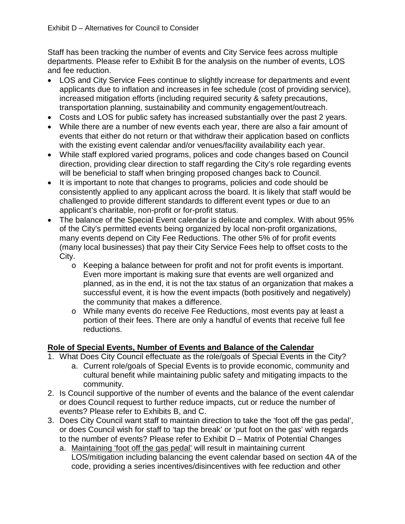Staff has been tracking the number of events and City Service fees across multiple departments. Please refer to Exhibit B for the analysis on the number of events, LOS and fee reduction.

- LOS and City Service Fees continue to slightly increase for departments and event applicants due to inflation and increases in fee schedule (cost of providing service), increased mitigation efforts (including required security & safety precautions, transportation planning, sustainability and community engagement/outreach.
- Costs and LOS for public safety has increased substantially over the past 2 years.
- While there are a number of new events each year, there are also a fair amount of events that either do not return or that withdraw their application based on conflicts with the existing event calendar and/or venues/facility availability each year.
- While staff explored varied programs, polices and code changes based on Council direction, providing clear direction to staff regarding the City's role regarding events will be beneficial to staff when bringing proposed changes back to Council.
- It is important to note that changes to programs, policies and code should be consistently applied to any applicant across the board. It is likely that staff would be challenged to provide different standards to different event types or due to an applicant's charitable, non-profit or for-profit status.
- The balance of the Special Event calendar is delicate and complex. With about 95% of the City's permitted events being organized by local non-profit organizations, many events depend on City Fee Reductions. The other 5% of for profit events (many local businesses) that pay their City Service Fees help to offset costs to the City.
	- o Keeping a balance between for profit and not for profit events is important. Even more important is making sure that events are well organized and planned, as in the end, it is not the tax status of an organization that makes a successful event, it is how the event impacts (both positively and negatively) the community that makes a difference.
	- o While many events do receive Fee Reductions, most events pay at least a portion of their fees. There are only a handful of events that receive full fee reductions.

# **Role of Special Events, Number of Events and Balance of the Calendar**

- 1. What Does City Council effectuate as the role/goals of Special Events in the City?
	- a. Current role/goals of Special Events is to provide economic, community and cultural benefit while maintaining public safety and mitigating impacts to the community.
- 2. Is Council supportive of the number of events and the balance of the event calendar or does Council request to further reduce impacts, cut or reduce the number of events? Please refer to Exhibits B, and C.
- 3. Does City Council want staff to maintain direction to take the 'foot off the gas pedal', or does Council wish for staff to 'tap the break' or 'put foot on the gas' with regards to the number of events? Please refer to Exhibit D – Matrix of Potential Changes
	- a. Maintaining 'foot off the gas pedal' will result in maintaining current LOS/mitigation including balancing the event calendar based on section 4A of the code, providing a series incentives/disincentives with fee reduction and other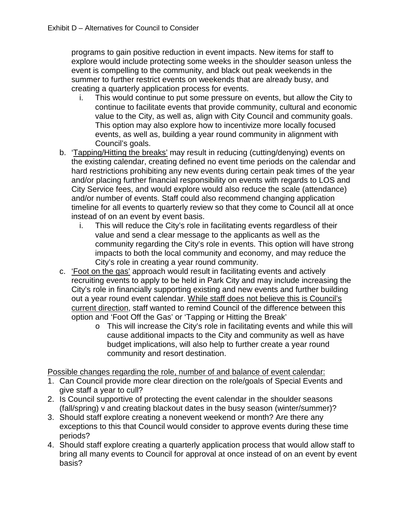programs to gain positive reduction in event impacts. New items for staff to explore would include protecting some weeks in the shoulder season unless the event is compelling to the community, and black out peak weekends in the summer to further restrict events on weekends that are already busy, and creating a quarterly application process for events.

- i. This would continue to put some pressure on events, but allow the City to continue to facilitate events that provide community, cultural and economic value to the City, as well as, align with City Council and community goals. This option may also explore how to incentivize more locally focused events, as well as, building a year round community in alignment with Council's goals.
- b. 'Tapping/Hitting the breaks' may result in reducing (cutting/denying) events on the existing calendar, creating defined no event time periods on the calendar and hard restrictions prohibiting any new events during certain peak times of the year and/or placing further financial responsibility on events with regards to LOS and City Service fees, and would explore would also reduce the scale (attendance) and/or number of events. Staff could also recommend changing application timeline for all events to quarterly review so that they come to Council all at once instead of on an event by event basis.
	- i. This will reduce the City's role in facilitating events regardless of their value and send a clear message to the applicants as well as the community regarding the City's role in events. This option will have strong impacts to both the local community and economy, and may reduce the City's role in creating a year round community.
- c. 'Foot on the gas' approach would result in facilitating events and actively recruiting events to apply to be held in Park City and may include increasing the City's role in financially supporting existing and new events and further building out a year round event calendar. While staff does not believe this is Council's current direction, staff wanted to remind Council of the difference between this option and 'Foot Off the Gas' or 'Tapping or Hitting the Break'
	- o This will increase the City's role in facilitating events and while this will cause additional impacts to the City and community as well as have budget implications, will also help to further create a year round community and resort destination.

#### Possible changes regarding the role, number of and balance of event calendar:

- 1. Can Council provide more clear direction on the role/goals of Special Events and give staff a year to cull?
- 2. Is Council supportive of protecting the event calendar in the shoulder seasons (fall/spring) v and creating blackout dates in the busy season (winter/summer)?
- 3. Should staff explore creating a nonevent weekend or month? Are there any exceptions to this that Council would consider to approve events during these time periods?
- 4. Should staff explore creating a quarterly application process that would allow staff to bring all many events to Council for approval at once instead of on an event by event basis?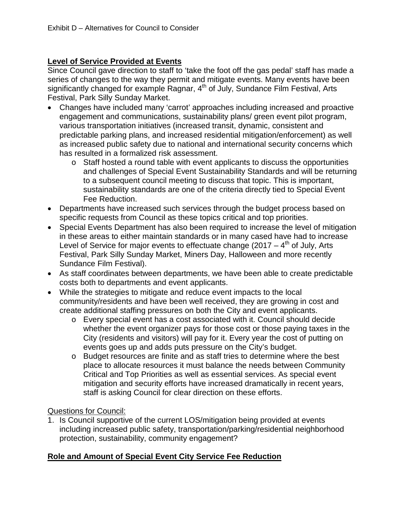### **Level of Service Provided at Events**

Since Council gave direction to staff to 'take the foot off the gas pedal' staff has made a series of changes to the way they permit and mitigate events. Many events have been significantly changed for example Ragnar, 4<sup>th</sup> of July, Sundance Film Festival, Arts Festival, Park Silly Sunday Market.

- Changes have included many 'carrot' approaches including increased and proactive engagement and communications, sustainability plans/ green event pilot program, various transportation initiatives (increased transit, dynamic, consistent and predictable parking plans, and increased residential mitigation/enforcement) as well as increased public safety due to national and international security concerns which has resulted in a formalized risk assessment.
	- $\circ$  Staff hosted a round table with event applicants to discuss the opportunities and challenges of Special Event Sustainability Standards and will be returning to a subsequent council meeting to discuss that topic. This is important, sustainability standards are one of the criteria directly tied to Special Event Fee Reduction.
- Departments have increased such services through the budget process based on specific requests from Council as these topics critical and top priorities.
- Special Events Department has also been required to increase the level of mitigation in these areas to either maintain standards or in many cased have had to increase Level of Service for major events to effectuate change (2017 –  $4<sup>th</sup>$  of July, Arts Festival, Park Silly Sunday Market, Miners Day, Halloween and more recently Sundance Film Festival).
- As staff coordinates between departments, we have been able to create predictable costs both to departments and event applicants.
- While the strategies to mitigate and reduce event impacts to the local community/residents and have been well received, they are growing in cost and create additional staffing pressures on both the City and event applicants.
	- o Every special event has a cost associated with it. Council should decide whether the event organizer pays for those cost or those paying taxes in the City (residents and visitors) will pay for it. Every year the cost of putting on events goes up and adds puts pressure on the City's budget.
	- o Budget resources are finite and as staff tries to determine where the best place to allocate resources it must balance the needs between Community Critical and Top Priorities as well as essential services. As special event mitigation and security efforts have increased dramatically in recent years, staff is asking Council for clear direction on these efforts.

#### Questions for Council:

1. Is Council supportive of the current LOS/mitigation being provided at events including increased public safety, transportation/parking/residential neighborhood protection, sustainability, community engagement?

### **Role and Amount of Special Event City Service Fee Reduction**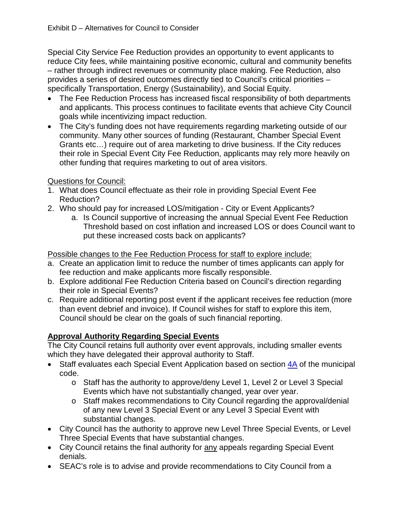Special City Service Fee Reduction provides an opportunity to event applicants to reduce City fees, while maintaining positive economic, cultural and community benefits – rather through indirect revenues or community place making. Fee Reduction, also provides a series of desired outcomes directly tied to Council's critical priorities – specifically Transportation, Energy (Sustainability), and Social Equity.

- The Fee Reduction Process has increased fiscal responsibility of both departments and applicants. This process continues to facilitate events that achieve City Council goals while incentivizing impact reduction.
- The City's funding does not have requirements regarding marketing outside of our community. Many other sources of funding (Restaurant, Chamber Special Event Grants etc…) require out of area marketing to drive business. If the City reduces their role in Special Event City Fee Reduction, applicants may rely more heavily on other funding that requires marketing to out of area visitors.

## Questions for Council:

- 1. What does Council effectuate as their role in providing Special Event Fee Reduction?
- 2. Who should pay for increased LOS/mitigation City or Event Applicants?
	- a. Is Council supportive of increasing the annual Special Event Fee Reduction Threshold based on cost inflation and increased LOS or does Council want to put these increased costs back on applicants?

Possible changes to the Fee Reduction Process for staff to explore include:

- a. Create an application limit to reduce the number of times applicants can apply for fee reduction and make applicants more fiscally responsible.
- b. Explore additional Fee Reduction Criteria based on Council's direction regarding their role in Special Events?
- c. Require additional reporting post event if the applicant receives fee reduction (more than event debrief and invoice). If Council wishes for staff to explore this item, Council should be clear on the goals of such financial reporting.

# **Approval Authority Regarding Special Events**

The City Council retains full authority over event approvals, including smaller events which they have delegated their approval authority to Staff.

- Staff evaluates each Special Event Application based on section  $4A$  of the municipal code.
	- o Staff has the authority to approve/deny Level 1, Level 2 or Level 3 Special Events which have not substantially changed, year over year.
	- o Staff makes recommendations to City Council regarding the approval/denial of any new Level 3 Special Event or any Level 3 Special Event with substantial changes.
- City Council has the authority to approve new Level Three Special Events, or Level Three Special Events that have substantial changes.
- City Council retains the final authority for any appeals regarding Special Event denials.
- SEAC's role is to advise and provide recommendations to City Council from a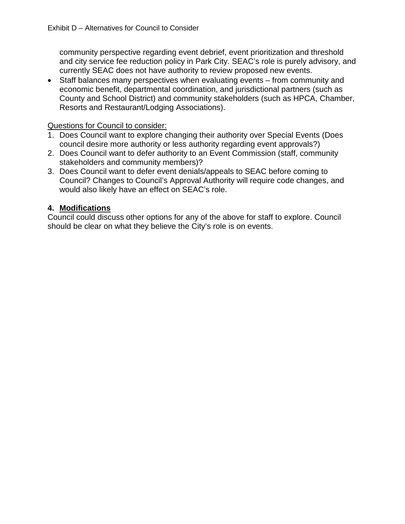community perspective regarding event debrief, event prioritization and threshold and city service fee reduction policy in Park City. SEAC's role is purely advisory, and currently SEAC does not have authority to review proposed new events.

• Staff balances many perspectives when evaluating events – from community and economic benefit, departmental coordination, and jurisdictional partners (such as County and School District) and community stakeholders (such as HPCA, Chamber, Resorts and Restaurant/Lodging Associations).

#### Questions for Council to consider:

- 1. Does Council want to explore changing their authority over Special Events (Does council desire more authority or less authority regarding event approvals?)
- 2. Does Council want to defer authority to an Event Commission (staff, community stakeholders and community members)?
- 3. Does Council want to defer event denials/appeals to SEAC before coming to Council? Changes to Council's Approval Authority will require code changes, and would also likely have an effect on SEAC's role.

### **4. Modifications**

Council could discuss other options for any of the above for staff to explore. Council should be clear on what they believe the City's role is on events.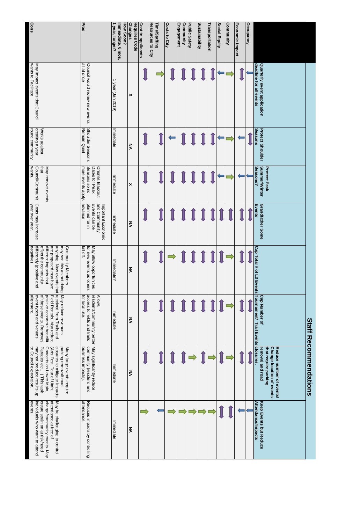|                                                                                                                                                                                                                               | Pros                                                                                         | 1 year, longer?<br>How Soon?<br>Immeadiate, 6 mos, | Requires Code<br><b>Changes</b> | <b>Cost to applicants</b> | Resources to City<br><b>Time/Staffing</b> | <b>Costs to City</b> | <b>Engagement</b><br>Community | Public Safety | Sustainability | Transportation | <b>Social Equity</b> | Community | Economic Impact | Occupancy |                                                                                                   |                        |
|-------------------------------------------------------------------------------------------------------------------------------------------------------------------------------------------------------------------------------|----------------------------------------------------------------------------------------------|----------------------------------------------------|---------------------------------|---------------------------|-------------------------------------------|----------------------|--------------------------------|---------------|----------------|----------------|----------------------|-----------|-----------------|-----------|---------------------------------------------------------------------------------------------------|------------------------|
| wants to Facilitate<br>May impact events that Council                                                                                                                                                                         | all at once<br>Council would review new events                                               | 1 year (Jan 2019)                                  | ×                               |                           |                                           |                      |                                |               |                |                |                      |           |                 |           | deadline for all events<br>Quarterly event application                                            |                        |
| round community<br>creating a year<br>Works against                                                                                                                                                                           | Shoulder Seasons<br>Remain Quiet                                                             | Immediate                                          | ξ                               |                           |                                           |                      |                                |               |                |                |                      |           |                 |           | Seasons<br><b>Protect Shoulder</b>                                                                |                        |
| May remove events<br>wants.<br>that<br>Council/Communit                                                                                                                                                                       | more events apply.<br>Seasons so no<br>Dates for Peak<br><b>Creates Blackout</b>             | Immediate                                          | ×                               |                           |                                           |                      |                                |               |                |                |                      |           |                 |           | <b>Summer/Winter</b><br>Seasons?<br><b>Protect Peak</b>                                           |                        |
| Costs may increase<br>year over year.                                                                                                                                                                                         | advance.<br>planned for in<br>and<br>Events can be<br>Important Economic<br>Community        | Immediate                                          | ζ                               |                           |                                           |                      |                                |               |                |                |                      |           |                 |           | Eve<br><b>Grandfather Some</b><br>sure                                                            |                        |
| anything. New events that<br>negative)<br>differently (positive and<br>effect the community<br>different impacts that<br>are proposed may have<br>may see this as not doing<br>Community Members                              | fall off.<br>May allow opportunities<br>for new events as others                             | Immediate?                                         | Š                               |                           |                                           |                      |                                |               |                |                |                      |           |                 |           |                                                                                                   |                        |
| received from Trails and<br>May reduce revenues<br>event types and venues<br>positive economic beneifit<br>alignment.<br>of these events. Removes<br>Tield Rentals. May reduce                                                | for local use.<br>access to fields and trails<br>residents/community better<br><b>Allows</b> | Immediate                                          | Š                               |                           |                                           |                      |                                |               |                |                |                      |           |                 |           | <b>Cap Number of</b>                                                                              | Staff                  |
| Parades etc) This task<br>to Council expectation.<br>may not produce results up<br>closures to mitigate impacts<br>parking removal/ road<br>Concerts on Lower Main,<br>(Arts Fest, Tour of Utah,<br>Many large events require | May significantly reduce<br>business impacts).<br>community (residenti and                   | Immediate                                          | <b>NA</b>                       |                           |                                           |                      |                                |               |                |                |                      |           |                 |           | that require parking<br>Change location of events<br>Reduce number of events/<br>removal and road | <b>Recommendations</b> |
| $\boldsymbol{\Phi}$<br>individuals who want to attend<br>create strain on at risk/need<br>charge/community events. May<br>attendance at free of<br>May be challenging to control<br>vents.                                    | Reduces impacts by controlling<br>attendance.                                                | Immediate                                          | Š                               |                           |                                           |                      |                                |               |                |                |                      |           |                 |           | Keep Events but Reduce<br>Attendance/Impacts                                                      |                        |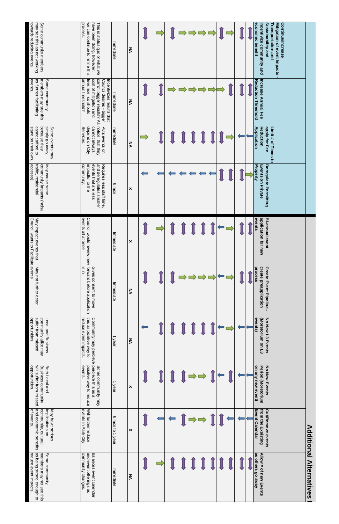| towards reducing events.<br>may see this as not working<br>Some community members                 | we can continue to refine this<br>process.<br>have been doing, however,<br>This is status quo of what we                                                   | Immediate       | ξ         |  |  |  |  |  | <b>Sustainability and</b><br>Mitigation of event Impacts<br>economic benefit<br>incentivize community and<br><b>Continue/Increase</b><br>Transportation and |                     |
|---------------------------------------------------------------------------------------------------|------------------------------------------------------------------------------------------------------------------------------------------------------------|-----------------|-----------|--|--|--|--|--|-------------------------------------------------------------------------------------------------------------------------------------------------------------|---------------------|
| events.<br>as further facilitating<br>members may see this<br>Some community                      | annual threshold?<br>fees rise, so should<br>cost of mitigation and<br>carrot, bigger results? As<br>Incentivizes results that<br>Council desires - bigger | Immediate       | ξ         |  |  |  |  |  | Increase Annual Fee<br>Reduction Threshold                                                                                                                  |                     |
| stand on their own.<br>because they<br>Simply go away<br>Some events may<br>cannot afford to      | notice, that they<br>Serivices.<br>depend on City<br>cannot always<br>Puts events on                                                                       | Immediate       | <b>NA</b> |  |  |  |  |  | apply for Fee<br>Reduction<br>Limit # of Times to<br>Application                                                                                            |                     |
| accesss).<br>traffic, residential<br>community impacts (noise,<br>May cause some                  | community.<br>impactful to the<br>events that are less<br>and deregulates smaller<br>Requires less staff time,                                             | 6 mos           | ×         |  |  |  |  |  | Events on Private<br>Deregulate Permitting<br>Property                                                                                                      |                     |
| Council wants to Facilitate events<br>May impact events that                                      | events all at once<br>Council would review new                                                                                                             | Immediate       | ×         |  |  |  |  |  | application for new<br>events<br><b>Bi-annual event</b>                                                                                                     |                     |
| May not further deter                                                                             | forward before application<br>ui si<br>Gives consent to move                                                                                               | Immediate       | ŠΣ        |  |  |  |  |  | create preapplication<br><b>Create Event Pipeline -</b><br>process                                                                                          |                     |
| opportunities.<br>suffer from missed<br>community alike may<br>Local and Business                 | this as positive way to<br>Community may percieve percieve this as a<br>reduce event impacts                                                               | 1 year          | ξ         |  |  |  |  |  | No New L3 Events<br>events)<br>(Moretorium on L3                                                                                                            |                     |
| opportunities.<br>will suffer from missed<br>Business community<br>Both Local and                 | events.<br>positive way to reduce<br>Some community may                                                                                                    | 1 year          | ×         |  |  |  |  |  | on any new event)<br>Period (Moretorium<br><b>No New Events</b>                                                                                             |                     |
| and economic benefits<br>implications on<br>of events.<br>May have serious<br>community, cultural | Will further reduce<br>events in Park City.                                                                                                                | 6 mos to 1 year | ×         |  |  |  |  |  | from the Exsisting<br><b>Cut/Remove events</b><br><b>Event Calendar</b>                                                                                     | <b>Additional</b>   |
| as being strong enough to<br>reduce event impacts.<br>members may not see this<br>Some community  | community changes<br>and event offerings as<br>Balances event calendar                                                                                     | Immediate       | ξ         |  |  |  |  |  | as others go away<br>Allow # of new Events                                                                                                                  | <b>Alternatives</b> |